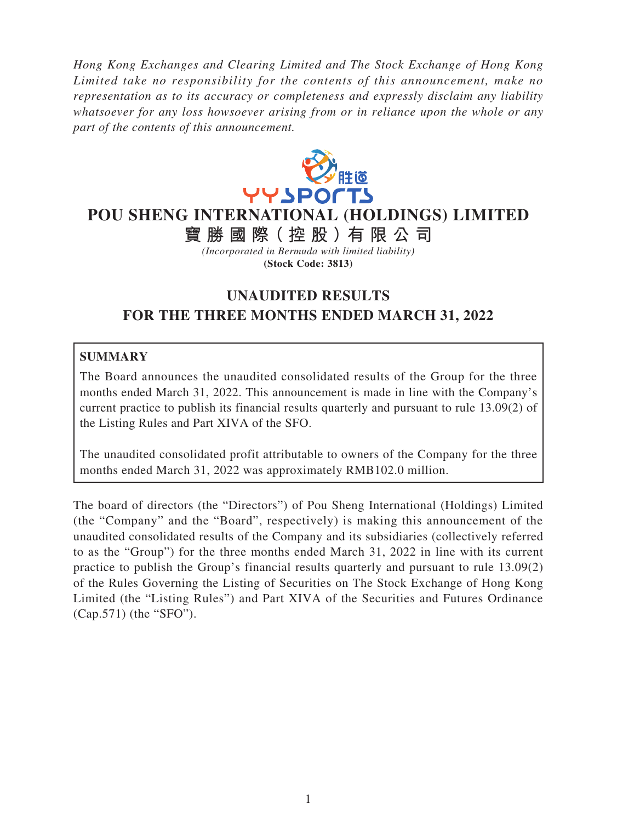*Hong Kong Exchanges and Clearing Limited and The Stock Exchange of Hong Kong Limited take no responsibility for the contents of this announcement, make no representation as to its accuracy or completeness and expressly disclaim any liability whatsoever for any loss howsoever arising from or in reliance upon the whole or any part of the contents of this announcement.*



**POU SHENG INTERNATIONAL (HOLDINGS) LIMITED**

**寶勝國際( 控 股 )有 限公司**

*(Incorporated in Bermuda with limited liability)* **(Stock Code: 3813)**

# **UNAUDITED RESULTS FOR THE THREE MONTHS ENDED MARCH 31, 2022**

# **SUMMARY**

The Board announces the unaudited consolidated results of the Group for the three months ended March 31, 2022. This announcement is made in line with the Company's current practice to publish its financial results quarterly and pursuant to rule 13.09(2) of the Listing Rules and Part XIVA of the SFO.

The unaudited consolidated profit attributable to owners of the Company for the three months ended March 31, 2022 was approximately RMB102.0 million.

The board of directors (the "Directors") of Pou Sheng International (Holdings) Limited (the "Company" and the "Board", respectively) is making this announcement of the unaudited consolidated results of the Company and its subsidiaries (collectively referred to as the "Group") for the three months ended March 31, 2022 in line with its current practice to publish the Group's financial results quarterly and pursuant to rule 13.09(2) of the Rules Governing the Listing of Securities on The Stock Exchange of Hong Kong Limited (the "Listing Rules") and Part XIVA of the Securities and Futures Ordinance (Cap.571) (the "SFO").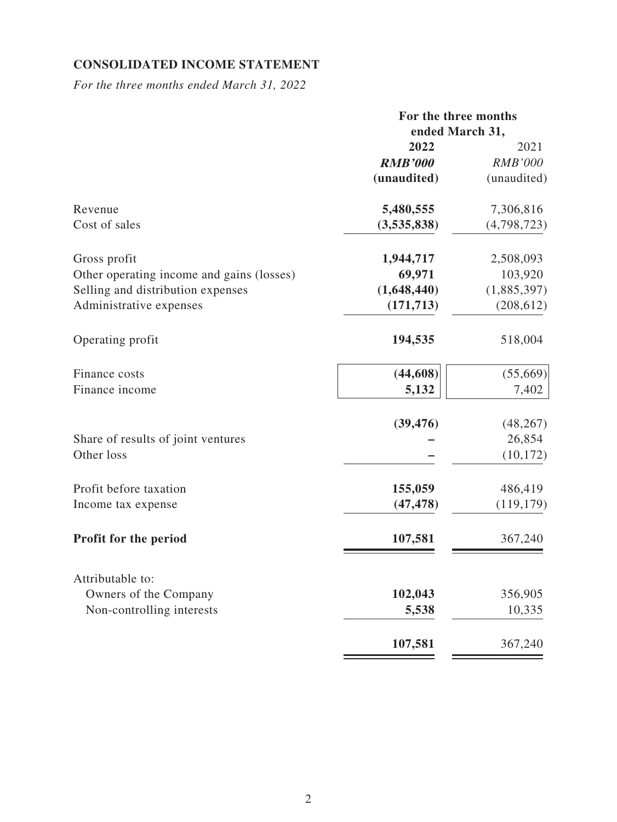## **CONSOLIDATED INCOME STATEMENT**

*For the three months ended March 31, 2022*

|                                           |                 | For the three months |  |
|-------------------------------------------|-----------------|----------------------|--|
|                                           | ended March 31, |                      |  |
|                                           | 2022            | 2021                 |  |
|                                           | <b>RMB'000</b>  | <b>RMB'000</b>       |  |
|                                           | (unaudited)     | (unaudited)          |  |
| Revenue                                   | 5,480,555       | 7,306,816            |  |
| Cost of sales                             | (3,535,838)     | (4,798,723)          |  |
| Gross profit                              | 1,944,717       | 2,508,093            |  |
| Other operating income and gains (losses) | 69,971          | 103,920              |  |
| Selling and distribution expenses         | (1,648,440)     | (1,885,397)          |  |
| Administrative expenses                   | (171, 713)      | (208, 612)           |  |
| Operating profit                          | 194,535         | 518,004              |  |
| Finance costs                             | (44, 608)       | (55,669)             |  |
| Finance income                            | 5,132           | 7,402                |  |
|                                           | (39, 476)       | (48, 267)            |  |
| Share of results of joint ventures        |                 | 26,854               |  |
| Other loss                                |                 | (10, 172)            |  |
| Profit before taxation                    | 155,059         | 486,419              |  |
| Income tax expense                        | (47, 478)       | (119, 179)           |  |
| <b>Profit for the period</b>              | 107,581         | 367,240              |  |
| Attributable to:                          |                 |                      |  |
| Owners of the Company                     | 102,043         | 356,905              |  |
| Non-controlling interests                 | 5,538           | 10,335               |  |
|                                           | 107,581         | 367,240              |  |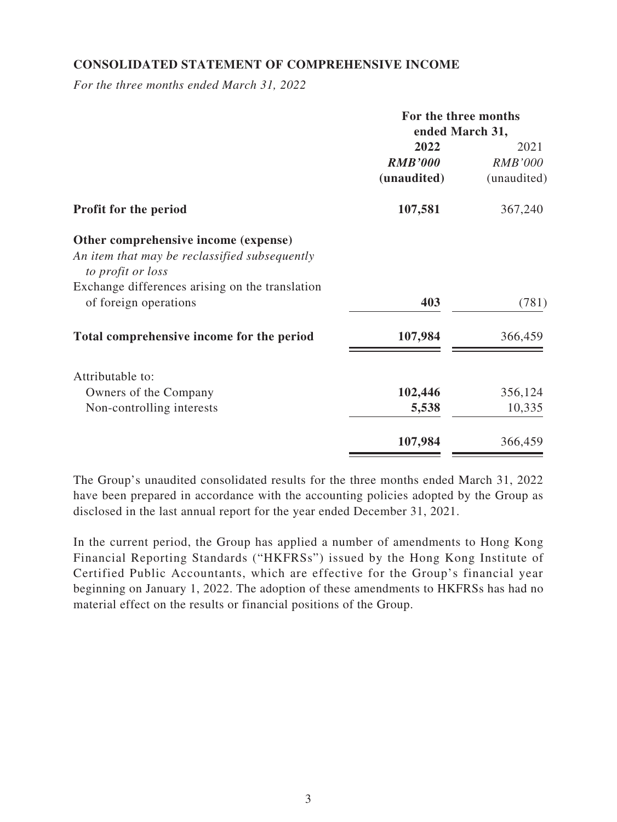### **CONSOLIDATED STATEMENT OF COMPREHENSIVE INCOME**

*For the three months ended March 31, 2022*

|                                                                    | For the three months |                |
|--------------------------------------------------------------------|----------------------|----------------|
|                                                                    | ended March 31,      |                |
|                                                                    | 2022                 | 2021           |
|                                                                    | <b>RMB'000</b>       | <b>RMB'000</b> |
|                                                                    | (unaudited)          | (unaudited)    |
| <b>Profit for the period</b>                                       | 107,581              | 367,240        |
| Other comprehensive income (expense)                               |                      |                |
| An item that may be reclassified subsequently<br>to profit or loss |                      |                |
| Exchange differences arising on the translation                    |                      |                |
| of foreign operations                                              | 403                  | (781)          |
| Total comprehensive income for the period                          | 107,984              | 366,459        |
| Attributable to:                                                   |                      |                |
| Owners of the Company                                              | 102,446              | 356,124        |
| Non-controlling interests                                          | 5,538                | 10,335         |
|                                                                    | 107,984              | 366,459        |

The Group's unaudited consolidated results for the three months ended March 31, 2022 have been prepared in accordance with the accounting policies adopted by the Group as disclosed in the last annual report for the year ended December 31, 2021.

In the current period, the Group has applied a number of amendments to Hong Kong Financial Reporting Standards ("HKFRSs") issued by the Hong Kong Institute of Certified Public Accountants, which are effective for the Group's financial year beginning on January 1, 2022. The adoption of these amendments to HKFRSs has had no material effect on the results or financial positions of the Group.